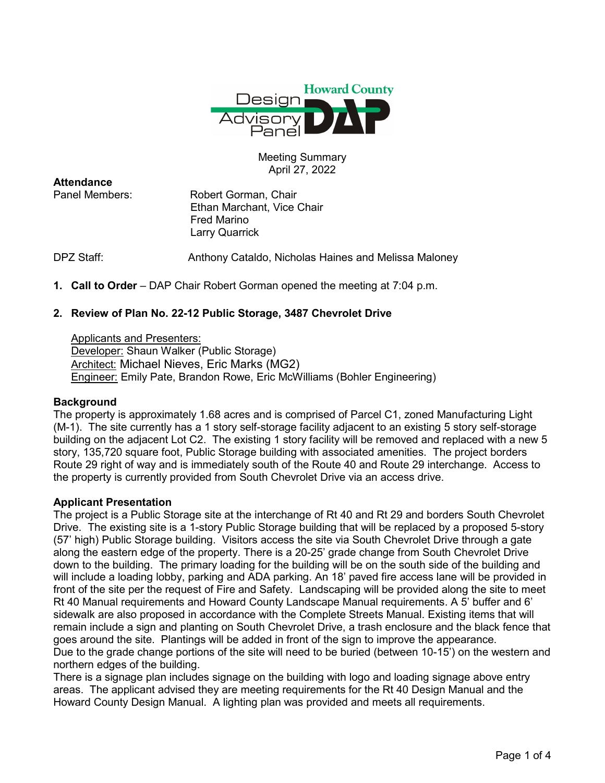

# Meeting Summary April 27, 2022

**Attendance**<br>Panel Members:

Robert Gorman, Chair Ethan Marchant, Vice Chair Fred Marino Larry Quarrick

DPZ Staff: Anthony Cataldo, Nicholas Haines and Melissa Maloney

**1. Call to Order** – DAP Chair Robert Gorman opened the meeting at 7:04 p.m.

# **2. Review of Plan No. 22-12 Public Storage, 3487 Chevrolet Drive**

Applicants and Presenters: Developer: Shaun Walker (Public Storage) Architect: Michael Nieves, Eric Marks (MG2) Engineer: Emily Pate, Brandon Rowe, Eric McWilliams (Bohler Engineering)

# **Background**

The property is approximately 1.68 acres and is comprised of Parcel C1, zoned Manufacturing Light (M-1). The site currently has a 1 story self-storage facility adjacent to an existing 5 story self-storage building on the adjacent Lot C2. The existing 1 story facility will be removed and replaced with a new 5 story, 135,720 square foot, Public Storage building with associated amenities. The project borders Route 29 right of way and is immediately south of the Route 40 and Route 29 interchange. Access to the property is currently provided from South Chevrolet Drive via an access drive.

# **Applicant Presentation**

The project is a Public Storage site at the interchange of Rt 40 and Rt 29 and borders South Chevrolet Drive. The existing site is a 1-story Public Storage building that will be replaced by a proposed 5-story (57' high) Public Storage building. Visitors access the site via South Chevrolet Drive through a gate along the eastern edge of the property. There is a 20-25' grade change from South Chevrolet Drive down to the building. The primary loading for the building will be on the south side of the building and will include a loading lobby, parking and ADA parking. An 18' paved fire access lane will be provided in front of the site per the request of Fire and Safety. Landscaping will be provided along the site to meet Rt 40 Manual requirements and Howard County Landscape Manual requirements. A 5' buffer and 6' sidewalk are also proposed in accordance with the Complete Streets Manual. Existing items that will remain include a sign and planting on South Chevrolet Drive, a trash enclosure and the black fence that goes around the site. Plantings will be added in front of the sign to improve the appearance. Due to the grade change portions of the site will need to be buried (between 10-15') on the western and northern edges of the building.

There is a signage plan includes signage on the building with logo and loading signage above entry areas. The applicant advised they are meeting requirements for the Rt 40 Design Manual and the Howard County Design Manual. A lighting plan was provided and meets all requirements.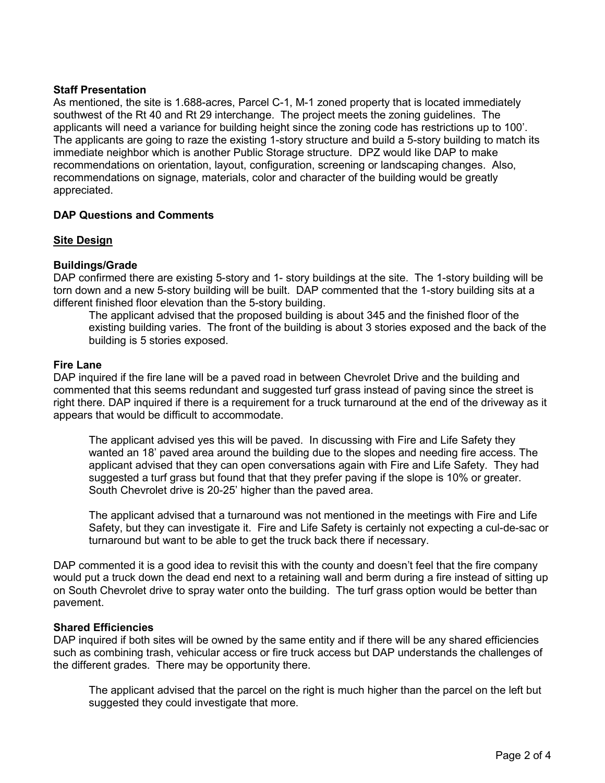## **Staff Presentation**

As mentioned, the site is 1.688-acres, Parcel C-1, M-1 zoned property that is located immediately southwest of the Rt 40 and Rt 29 interchange. The project meets the zoning guidelines. The applicants will need a variance for building height since the zoning code has restrictions up to 100'. The applicants are going to raze the existing 1-story structure and build a 5-story building to match its immediate neighbor which is another Public Storage structure. DPZ would like DAP to make recommendations on orientation, layout, configuration, screening or landscaping changes. Also, recommendations on signage, materials, color and character of the building would be greatly appreciated.

# **DAP Questions and Comments**

#### **Site Design**

## **Buildings/Grade**

DAP confirmed there are existing 5-story and 1- story buildings at the site. The 1-story building will be torn down and a new 5-story building will be built. DAP commented that the 1-story building sits at a different finished floor elevation than the 5-story building.

The applicant advised that the proposed building is about 345 and the finished floor of the existing building varies. The front of the building is about 3 stories exposed and the back of the building is 5 stories exposed.

#### **Fire Lane**

DAP inquired if the fire lane will be a paved road in between Chevrolet Drive and the building and commented that this seems redundant and suggested turf grass instead of paving since the street is right there. DAP inquired if there is a requirement for a truck turnaround at the end of the driveway as it appears that would be difficult to accommodate.

The applicant advised yes this will be paved. In discussing with Fire and Life Safety they wanted an 18' paved area around the building due to the slopes and needing fire access. The applicant advised that they can open conversations again with Fire and Life Safety. They had suggested a turf grass but found that that they prefer paving if the slope is 10% or greater. South Chevrolet drive is 20-25' higher than the paved area.

The applicant advised that a turnaround was not mentioned in the meetings with Fire and Life Safety, but they can investigate it. Fire and Life Safety is certainly not expecting a cul-de-sac or turnaround but want to be able to get the truck back there if necessary.

DAP commented it is a good idea to revisit this with the county and doesn't feel that the fire company would put a truck down the dead end next to a retaining wall and berm during a fire instead of sitting up on South Chevrolet drive to spray water onto the building. The turf grass option would be better than pavement.

#### **Shared Efficiencies**

DAP inquired if both sites will be owned by the same entity and if there will be any shared efficiencies such as combining trash, vehicular access or fire truck access but DAP understands the challenges of the different grades. There may be opportunity there.

The applicant advised that the parcel on the right is much higher than the parcel on the left but suggested they could investigate that more.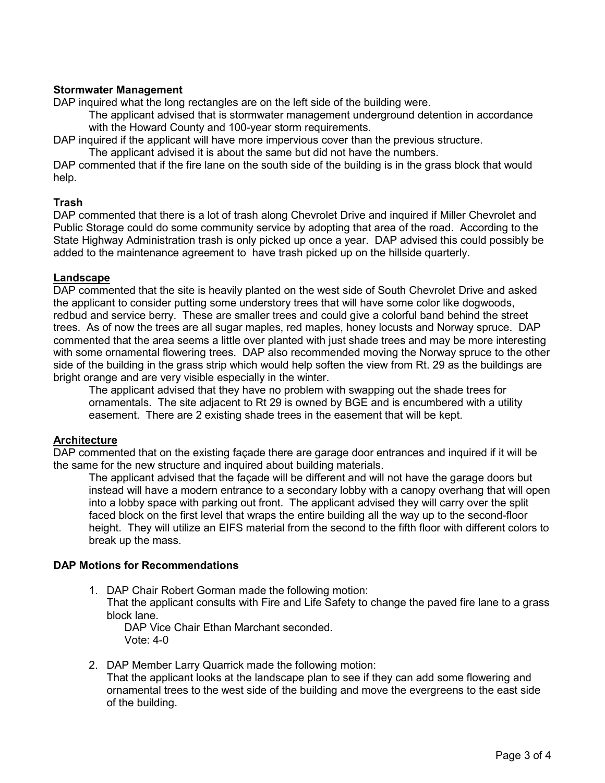## **Stormwater Management**

DAP inquired what the long rectangles are on the left side of the building were.

The applicant advised that is stormwater management underground detention in accordance with the Howard County and 100-year storm requirements.

DAP inquired if the applicant will have more impervious cover than the previous structure.

The applicant advised it is about the same but did not have the numbers.

DAP commented that if the fire lane on the south side of the building is in the grass block that would help.

## **Trash**

DAP commented that there is a lot of trash along Chevrolet Drive and inquired if Miller Chevrolet and Public Storage could do some community service by adopting that area of the road. According to the State Highway Administration trash is only picked up once a year. DAP advised this could possibly be added to the maintenance agreement to have trash picked up on the hillside quarterly.

## **Landscape**

DAP commented that the site is heavily planted on the west side of South Chevrolet Drive and asked the applicant to consider putting some understory trees that will have some color like dogwoods, redbud and service berry. These are smaller trees and could give a colorful band behind the street trees. As of now the trees are all sugar maples, red maples, honey locusts and Norway spruce. DAP commented that the area seems a little over planted with just shade trees and may be more interesting with some ornamental flowering trees. DAP also recommended moving the Norway spruce to the other side of the building in the grass strip which would help soften the view from Rt. 29 as the buildings are bright orange and are very visible especially in the winter.

The applicant advised that they have no problem with swapping out the shade trees for ornamentals. The site adjacent to Rt 29 is owned by BGE and is encumbered with a utility easement. There are 2 existing shade trees in the easement that will be kept.

#### **Architecture**

DAP commented that on the existing façade there are garage door entrances and inquired if it will be the same for the new structure and inquired about building materials.

The applicant advised that the façade will be different and will not have the garage doors but instead will have a modern entrance to a secondary lobby with a canopy overhang that will open into a lobby space with parking out front. The applicant advised they will carry over the split faced block on the first level that wraps the entire building all the way up to the second-floor height. They will utilize an EIFS material from the second to the fifth floor with different colors to break up the mass.

#### **DAP Motions for Recommendations**

1. DAP Chair Robert Gorman made the following motion: That the applicant consults with Fire and Life Safety to change the paved fire lane to a grass block lane.

DAP Vice Chair Ethan Marchant seconded. Vote: 4-0

2. DAP Member Larry Quarrick made the following motion:

That the applicant looks at the landscape plan to see if they can add some flowering and ornamental trees to the west side of the building and move the evergreens to the east side of the building.